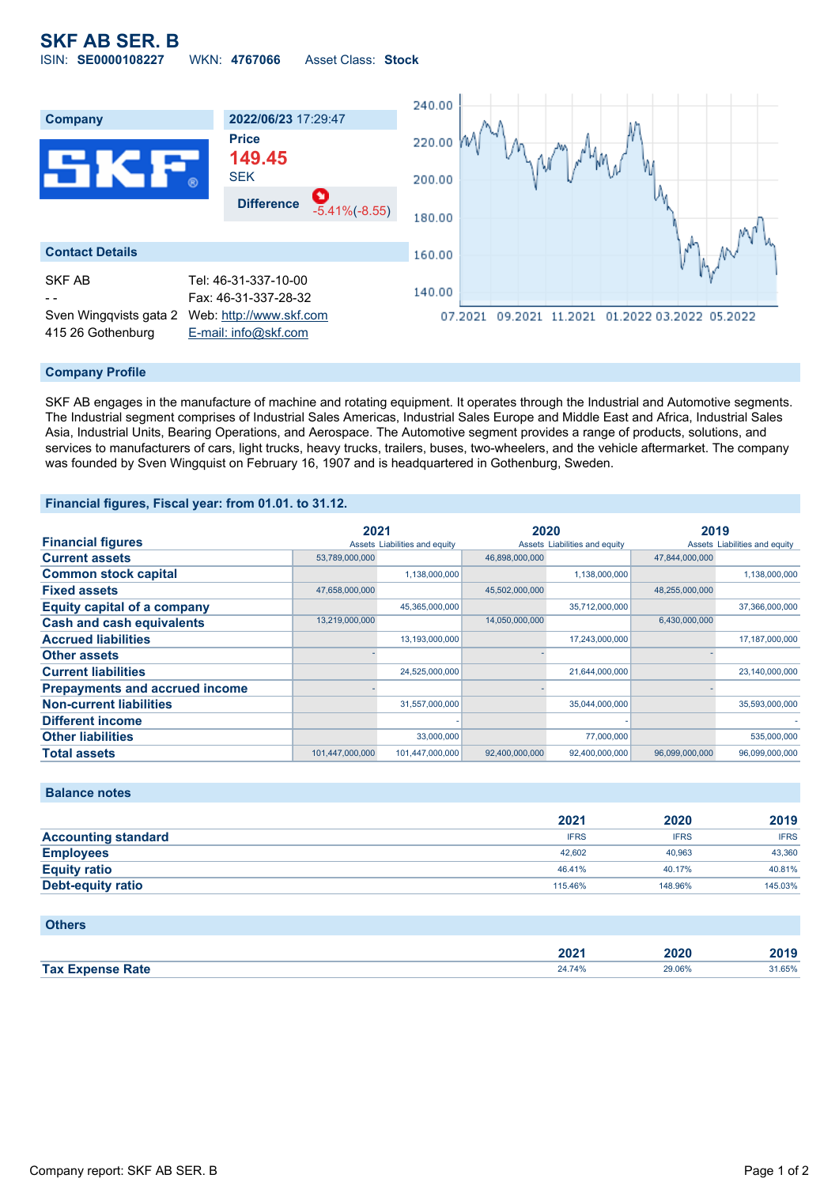# **SKF AB SER. B** ISIN: **SE0000108227** WKN: **4767066** Asset Class: **Stock**



## **Company Profile**

SKF AB engages in the manufacture of machine and rotating equipment. It operates through the Industrial and Automotive segments. The Industrial segment comprises of Industrial Sales Americas, Industrial Sales Europe and Middle East and Africa, Industrial Sales Asia, Industrial Units, Bearing Operations, and Aerospace. The Automotive segment provides a range of products, solutions, and services to manufacturers of cars, light trucks, heavy trucks, trailers, buses, two-wheelers, and the vehicle aftermarket. The company was founded by Sven Wingquist on February 16, 1907 and is headquartered in Gothenburg, Sweden.

## **Financial figures, Fiscal year: from 01.01. to 31.12.**

|                                       | 2021            |                               | 2020           |                               | 2019           |                               |
|---------------------------------------|-----------------|-------------------------------|----------------|-------------------------------|----------------|-------------------------------|
| <b>Financial figures</b>              |                 | Assets Liabilities and equity |                | Assets Liabilities and equity |                | Assets Liabilities and equity |
| <b>Current assets</b>                 | 53,789,000,000  |                               | 46,898,000,000 |                               | 47,844,000,000 |                               |
| <b>Common stock capital</b>           |                 | 1,138,000,000                 |                | 1,138,000,000                 |                | 1,138,000,000                 |
| <b>Fixed assets</b>                   | 47,658,000,000  |                               | 45,502,000,000 |                               | 48,255,000,000 |                               |
| <b>Equity capital of a company</b>    |                 | 45,365,000,000                |                | 35,712,000,000                |                | 37,366,000,000                |
| <b>Cash and cash equivalents</b>      | 13,219,000,000  |                               | 14,050,000,000 |                               | 6,430,000,000  |                               |
| <b>Accrued liabilities</b>            |                 | 13,193,000,000                |                | 17,243,000,000                |                | 17,187,000,000                |
| <b>Other assets</b>                   |                 |                               |                |                               |                |                               |
| <b>Current liabilities</b>            |                 | 24,525,000,000                |                | 21,644,000,000                |                | 23,140,000,000                |
| <b>Prepayments and accrued income</b> |                 |                               |                |                               |                |                               |
| <b>Non-current liabilities</b>        |                 | 31,557,000,000                |                | 35,044,000,000                |                | 35,593,000,000                |
| <b>Different income</b>               |                 |                               |                |                               |                |                               |
| <b>Other liabilities</b>              |                 | 33,000,000                    |                | 77,000,000                    |                | 535,000,000                   |
| <b>Total assets</b>                   | 101.447.000.000 | 101,447,000,000               | 92,400,000,000 | 92.400.000.000                | 96.099.000.000 | 96.099.000.000                |

## **Balance notes**

|                            | 2021        | 2020        | 2019        |
|----------------------------|-------------|-------------|-------------|
| <b>Accounting standard</b> | <b>IFRS</b> | <b>IFRS</b> | <b>IFRS</b> |
| <b>Employees</b>           | 42.602      | 40.963      | 43,360      |
| <b>Equity ratio</b>        | 46.41%      | 40.17%      | 40.81%      |
| Debt-equity ratio          | 115.46%     | 148.96%     | 145.03%     |

#### **Others**

|                                        | ירחר<br>ZUZ | 2020          | $\sim$ |
|----------------------------------------|-------------|---------------|--------|
| <b>Tax</b><br>Rate<br>$-$ rnane $\sim$ |             | <b>29.06%</b> | 1.65%  |